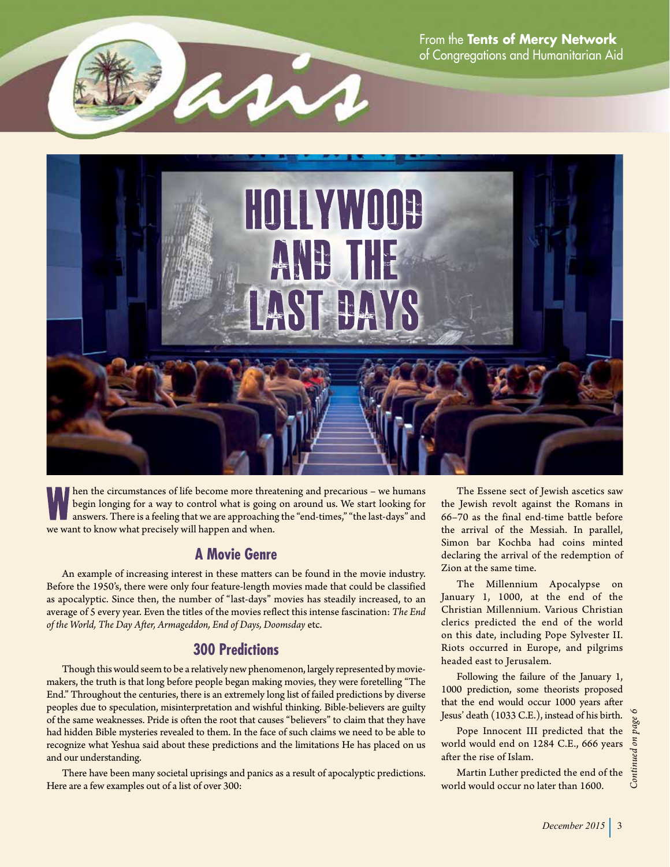From the **Tents of Mercy Network** of Congregations and Humanitarian Aid





hen the circumstances of life become more threatening and precarious – we humans begin longing for a way to control what is going on around us. We start looking for answers. There is a feeling that we are approaching the "end-times," "the last-days" and we want to know what precisely will happen and when.

#### **A Movie Genre**

An example of increasing interest in these matters can be found in the movie industry. Before the 1950's, there were only four feature-length movies made that could be classified as apocalyptic. Since then, the number of "last-days" movies has steadily increased, to an average of 5 every year. Even the titles of the movies reflect this intense fascination: *The End of the World, The Day After, Armageddon, End of Days, Doomsday* etc.

#### **300 Predictions**

Though this would seem to be a relatively new phenomenon, largely represented by moviemakers, the truth is that long before people began making movies, they were foretelling "The End." Throughout the centuries, there is an extremely long list of failed predictions by diverse peoples due to speculation, misinterpretation and wishful thinking. Bible-believers are guilty of the same weaknesses. Pride is often the root that causes "believers" to claim that they have had hidden Bible mysteries revealed to them. In the face of such claims we need to be able to recognize what Yeshua said about these predictions and the limitations He has placed on us and our understanding.

There have been many societal uprisings and panics as a result of apocalyptic predictions. Here are a few examples out of a list of over 300:

The Essene sect of Jewish ascetics saw the Jewish revolt against the Romans in 66–70 as the final end-time battle before the arrival of the Messiah. In parallel, Simon bar Kochba had coins minted declaring the arrival of the redemption of Zion at the same time.

The Millennium Apocalypse on January 1, 1000, at the end of the Christian Millennium. Various Christian clerics predicted the end of the world on this date, including Pope Sylvester II. Riots occurred in Europe, and pilgrims headed east to Jerusalem.

Following the failure of the January 1, 1000 prediction, some theorists proposed that the end would occur 1000 years after Jesus' death (1033 C.E.), instead of his birth.

Pope Innocent III predicted that the world would end on 1284 C.E., 666 years after the rise of Islam.

Martin Luther predicted the end of the world would occur no later than 1600.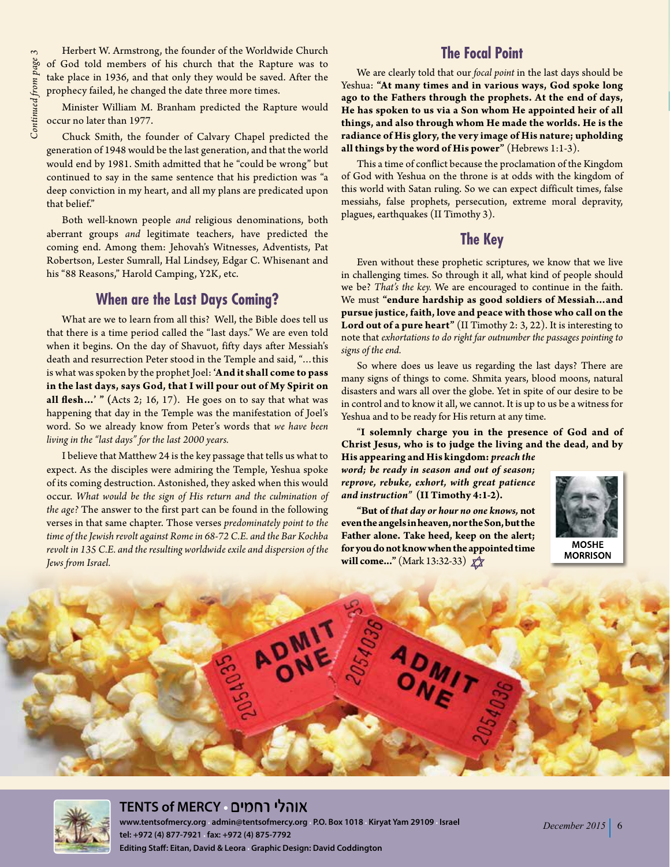Herbert W. Armstrong, the founder of the Worldwide Church of God told members of his church that the Rapture was to take place in 1936, and that only they would be saved. After the prophecy failed, he changed the date three more times.

Minister William M. Branham predicted the Rapture would occur no later than 1977.

Chuck Smith, the founder of Calvary Chapel predicted the generation of 1948 would be the last generation, and that the world would end by 1981. Smith admitted that he "could be wrong" but continued to say in the same sentence that his prediction was "a deep conviction in my heart, and all my plans are predicated upon that belief."

Both well-known people *and* religious denominations, both aberrant groups *and* legitimate teachers, have predicted the coming end. Among them: Jehovah's Witnesses, Adventists, Pat Robertson, Lester Sumrall, Hal Lindsey, Edgar C. Whisenant and his "88 Reasons," Harold Camping, Y2K, etc.

### **When are the Last Days Coming?**

What are we to learn from all this? Well, the Bible does tell us that there is a time period called the "last days." We are even told when it begins. On the day of Shavuot, fifty days after Messiah's death and resurrection Peter stood in the Temple and said, "…this is what was spoken by the prophet Joel: **'And it shall come to pass in the last days, says God, that I will pour out of My Spirit on all flesh…' " (**Acts 2; 16, 17). He goes on to say that what was happening that day in the Temple was the manifestation of Joel's word. So we already know from Peter's words that *we have been living in the "last days" for the last 2000 years.*

I believe that Matthew 24 is the key passage that tells us what to expect. As the disciples were admiring the Temple, Yeshua spoke of its coming destruction. Astonished, they asked when this would occur. *What would be the sign of His return and the culmination of the age?* The answer to the first part can be found in the following verses in that same chapter. Those verses *predominately point to the time of the Jewish revolt against Rome in 68-72 C.E. and the Bar Kochba revolt in 135 C.E. and the resulting worldwide exile and dispersion of the Jews from Israel.*

#### **The Focal Point**

We are clearly told that our *focal point* in the last days should be Yeshua: **"At many times and in various ways, God spoke long ago to the Fathers through the prophets. At the end of days, He has spoken to us via a Son whom He appointed heir of all things, and also through whom He made the worlds. He is the radiance of His glory, the very image of His nature; upholding all things by the word of His power"** (Hebrews 1:1-3).

This a time of conflict because the proclamation of the Kingdom of God with Yeshua on the throne is at odds with the kingdom of this world with Satan ruling. So we can expect difficult times, false messiahs, false prophets, persecution, extreme moral depravity, plagues, earthquakes (II Timothy 3).

#### **The Key**

Even without these prophetic scriptures, we know that we live in challenging times. So through it all, what kind of people should we be? *That's the key.* We are encouraged to continue in the faith. We must **"endure hardship as good soldiers of Messiah…and pursue justice, faith, love and peace with those who call on the Lord out of a pure heart"** (II Timothy 2: 3, 22). It is interesting to note that *exhortations to do right far outnumber the passages pointing to signs of the end.*

So where does us leave us regarding the last days? There are many signs of things to come. Shmita years, blood moons, natural disasters and wars all over the globe. Yet in spite of our desire to be in control and to know it all, we cannot. It is up to us be a witness for Yeshua and to be ready for His return at any time.

"**I solemnly charge you in the presence of God and of Christ Jesus, who is to judge the living and the dead, and by** 

**His appearing and His kingdom:** *preach the word; be ready in season and out of season; reprove, rebuke, exhort, with great patience and instruction"* **(II Timothy 4:1-2).** 

**"But of** *that day or hour no one knows,* **not even the angels in heaven, nor the Son, but the Father alone. Take heed, keep on the alert; for you do not know when the appointed time will come..."** (Mark 13:32-33)  $\chi$ 



**MORRISON** 





#### **TENTS of MERCY**

**www.tentsofmercy.org admin@tentsofmercy.org P.O. Box 1018 Kiryat Yam 29109 Israel tel: +972 (4) 877-7921 fax: +972 (4) 875-7792 Editing Staff: Eitan, David & Leora Graphic Design: David Coddington**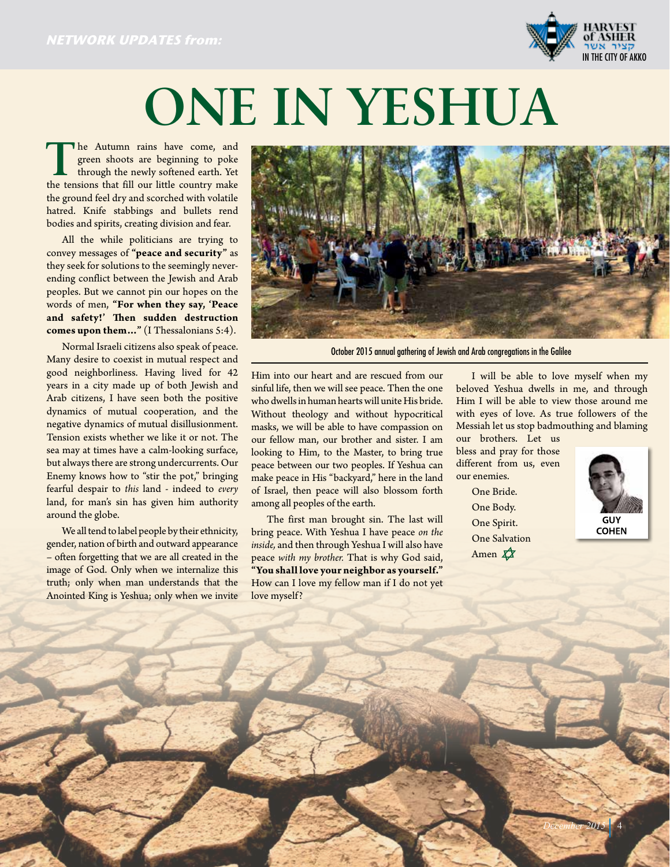

## **ONE IN YESHUA**

The Autumn rains have come, and green shoots are beginning to poke through the newly softened earth. Yet green shoots are beginning to poke the tensions that fill our little country make the ground feel dry and scorched with volatile hatred. Knife stabbings and bullets rend bodies and spirits, creating division and fear.

All the while politicians are trying to convey messages of **"peace and security"** as they seek for solutions to the seemingly neverending conflict between the Jewish and Arab peoples. But we cannot pin our hopes on the words of men, **"For when they say, 'Peace and safety!' Then sudden destruction comes upon them…"** (I Thessalonians 5:4).

Normal Israeli citizens also speak of peace. Many desire to coexist in mutual respect and good neighborliness. Having lived for 42 years in a city made up of both Jewish and Arab citizens, I have seen both the positive dynamics of mutual cooperation, and the negative dynamics of mutual disillusionment. Tension exists whether we like it or not. The sea may at times have a calm-looking surface, but always there are strong undercurrents. Our Enemy knows how to "stir the pot," bringing fearful despair to *this* land - indeed to *every* land, for man's sin has given him authority around the globe.

We all tend to label people by their ethnicity, gender, nation of birth and outward appearance – often forgetting that we are all created in the image of God. Only when we internalize this truth; only when man understands that the Anointed King is Yeshua; only when we invite



October 2015 annual gathering of Jewish and Arab congregations in the Galilee

Him into our heart and are rescued from our sinful life, then we will see peace. Then the one who dwells in human hearts will unite His bride. Without theology and without hypocritical masks, we will be able to have compassion on our fellow man, our brother and sister. I am looking to Him, to the Master, to bring true peace between our two peoples. If Yeshua can make peace in His "backyard," here in the land of Israel, then peace will also blossom forth among all peoples of the earth.

The first man brought sin. The last will bring peace. With Yeshua I have peace *on the inside,* and then through Yeshua I will also have peace *with my brother.* That is why God said, **"You shall love your neighbor as yourself."**  How can I love my fellow man if I do not yet love myself?

I will be able to love myself when my beloved Yeshua dwells in me, and through Him I will be able to view those around me with eyes of love. As true followers of the Messiah let us stop badmouthing and blaming

our brothers. Let us bless and pray for those different from us, even our enemies.

> One Bride. One Body. One Spirit. One Salvation Amen  $\overrightarrow{\mathbf{X}}$